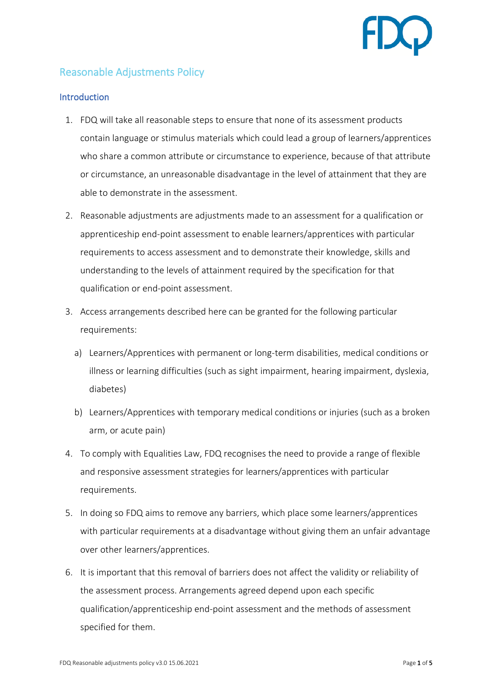

# Reasonable Adjustments Policy

## **Introduction**

- 1. FDQ will take all reasonable steps to ensure that none of its assessment products contain language or stimulus materials which could lead a group of learners/apprentices who share a common attribute or circumstance to experience, because of that attribute or circumstance, an unreasonable disadvantage in the level of attainment that they are able to demonstrate in the assessment.
- 2. Reasonable adjustments are adjustments made to an assessment for a qualification or apprenticeship end-point assessment to enable learners/apprentices with particular requirements to access assessment and to demonstrate their knowledge, skills and understanding to the levels of attainment required by the specification for that qualification or end-point assessment.
- 3. Access arrangements described here can be granted for the following particular requirements:
	- a) Learners/Apprentices with permanent or long-term disabilities, medical conditions or illness or learning difficulties (such as sight impairment, hearing impairment, dyslexia, diabetes)
	- b) Learners/Apprentices with temporary medical conditions or injuries (such as a broken arm, or acute pain)
- 4. To comply with Equalities Law, FDQ recognises the need to provide a range of flexible and responsive assessment strategies for learners/apprentices with particular requirements.
- 5. In doing so FDQ aims to remove any barriers, which place some learners/apprentices with particular requirements at a disadvantage without giving them an unfair advantage over other learners/apprentices.
- 6. It is important that this removal of barriers does not affect the validity or reliability of the assessment process. Arrangements agreed depend upon each specific qualification/apprenticeship end-point assessment and the methods of assessment specified for them.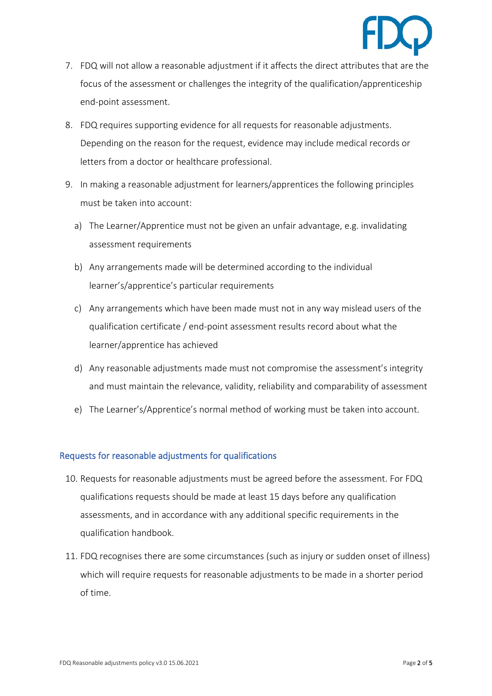

- 7. FDQ will not allow a reasonable adjustment if it affects the direct attributes that are the focus of the assessment or challenges the integrity of the qualification/apprenticeship end-point assessment.
- 8. FDQ requires supporting evidence for all requests for reasonable adjustments. Depending on the reason for the request, evidence may include medical records or letters from a doctor or healthcare professional.
- 9. In making a reasonable adjustment for learners/apprentices the following principles must be taken into account:
	- a) The Learner/Apprentice must not be given an unfair advantage, e.g. invalidating assessment requirements
	- b) Any arrangements made will be determined according to the individual learner's/apprentice's particular requirements
	- c) Any arrangements which have been made must not in any way mislead users of the qualification certificate / end-point assessment results record about what the learner/apprentice has achieved
	- d) Any reasonable adjustments made must not compromise the assessment's integrity and must maintain the relevance, validity, reliability and comparability of assessment
	- e) The Learner's/Apprentice's normal method of working must be taken into account.

## Requests for reasonable adjustments for qualifications

- 10. Requests for reasonable adjustments must be agreed before the assessment. For FDQ qualifications requests should be made at least 15 days before any qualification assessments, and in accordance with any additional specific requirements in the qualification handbook.
- 11. FDQ recognises there are some circumstances (such as injury or sudden onset of illness) which will require requests for reasonable adjustments to be made in a shorter period of time.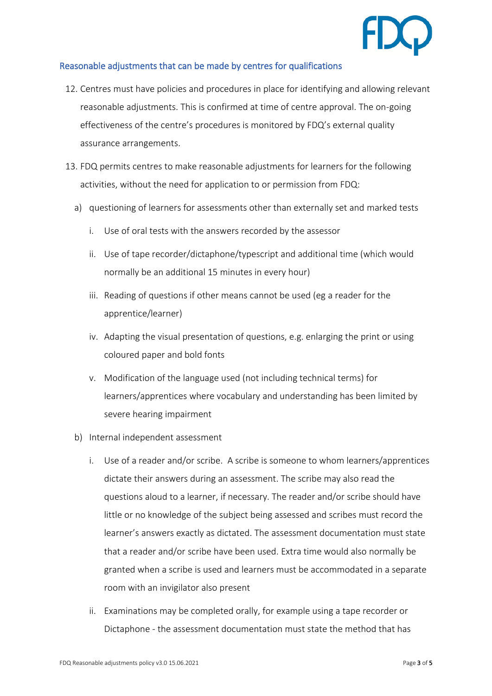

## Reasonable adjustments that can be made by centres for qualifications

- 12. Centres must have policies and procedures in place for identifying and allowing relevant reasonable adjustments. This is confirmed at time of centre approval. The on-going effectiveness of the centre's procedures is monitored by FDQ's external quality assurance arrangements.
- 13. FDQ permits centres to make reasonable adjustments for learners for the following activities, without the need for application to or permission from FDQ:
	- a) questioning of learners for assessments other than externally set and marked tests
		- i. Use of oral tests with the answers recorded by the assessor
		- ii. Use of tape recorder/dictaphone/typescript and additional time (which would normally be an additional 15 minutes in every hour)
		- iii. Reading of questions if other means cannot be used (eg a reader for the apprentice/learner)
		- iv. Adapting the visual presentation of questions, e.g. enlarging the print or using coloured paper and bold fonts
		- v. Modification of the language used (not including technical terms) for learners/apprentices where vocabulary and understanding has been limited by severe hearing impairment
	- b) Internal independent assessment
		- i. Use of a reader and/or scribe. A scribe is someone to whom learners/apprentices dictate their answers during an assessment. The scribe may also read the questions aloud to a learner, if necessary. The reader and/or scribe should have little or no knowledge of the subject being assessed and scribes must record the learner's answers exactly as dictated. The assessment documentation must state that a reader and/or scribe have been used. Extra time would also normally be granted when a scribe is used and learners must be accommodated in a separate room with an invigilator also present
		- ii. Examinations may be completed orally, for example using a tape recorder or Dictaphone - the assessment documentation must state the method that has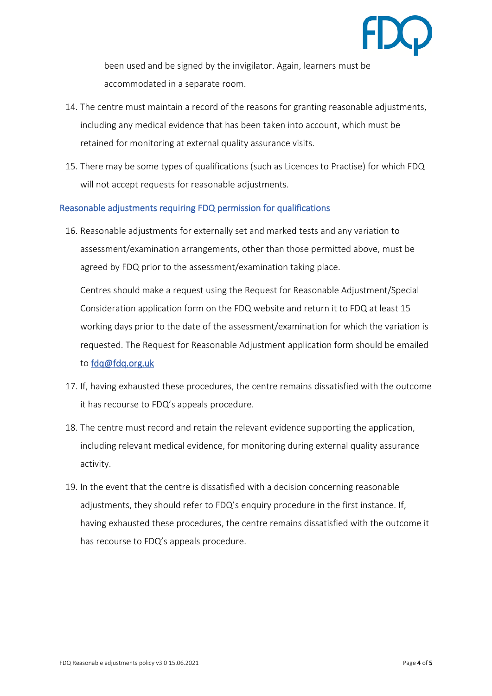

been used and be signed by the invigilator. Again, learners must be accommodated in a separate room.

- 14. The centre must maintain a record of the reasons for granting reasonable adjustments, including any medical evidence that has been taken into account, which must be retained for monitoring at external quality assurance visits.
- 15. There may be some types of qualifications (such as Licences to Practise) for which FDQ will not accept requests for reasonable adjustments.

#### Reasonable adjustments requiring FDQ permission for qualifications

16. Reasonable adjustments for externally set and marked tests and any variation to assessment/examination arrangements, other than those permitted above, must be agreed by FDQ prior to the assessment/examination taking place.

Centres should make a request using the Request for Reasonable Adjustment/Special Consideration application form on the FDQ website and return it to FDQ at least 15 working days prior to the date of the assessment/examination for which the variation is requested. The Request for Reasonable Adjustment application form should be emailed to [fdq@fdq.org.uk](mailto:fdq@fdq.org.uk)

- 17. If, having exhausted these procedures, the centre remains dissatisfied with the outcome it has recourse to FDQ's appeals procedure.
- 18. The centre must record and retain the relevant evidence supporting the application, including relevant medical evidence, for monitoring during external quality assurance activity.
- 19. In the event that the centre is dissatisfied with a decision concerning reasonable adjustments, they should refer to FDQ's enquiry procedure in the first instance. If, having exhausted these procedures, the centre remains dissatisfied with the outcome it has recourse to FDQ's appeals procedure.